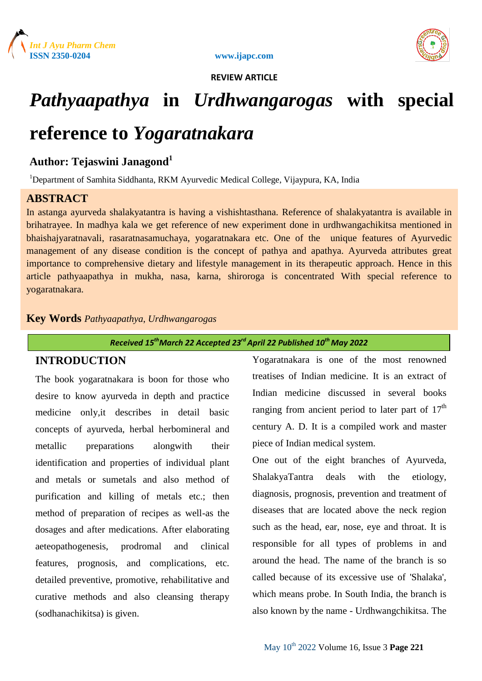



# *Pathyaapathya* **in** *Urdhwangarogas* **with special**

# **reference to** *Yogaratnakara*

# **Author: Tejaswini Janagond<sup>1</sup>**

<sup>1</sup>Department of Samhita Siddhanta, RKM Ayurvedic Medical College, Vijaypura, KA, India

# **ABSTRACT**

In astanga ayurveda shalakyatantra is having a vishishtasthana. Reference of shalakyatantra is available in brihatrayee. In madhya kala we get reference of new experiment done in urdhwangachikitsa mentioned in bhaishajyaratnavali, rasaratnasamuchaya, yogaratnakara etc. One of the unique features of Ayurvedic management of any disease condition is the concept of pathya and apathya. Ayurveda attributes great importance to comprehensive dietary and lifestyle management in its therapeutic approach. Hence in this article pathyaapathya in mukha, nasa, karna, shiroroga is concentrated With special reference to yogaratnakara.

# **Key Words** *Pathyaapathya*, *Urdhwangarogas*

*Received 15thMarch 22 Accepted 23rd April 22 Published 10th May 2022*

# **INTRODUCTION**

The book yogaratnakara is boon for those who desire to know ayurveda in depth and practice medicine only,it describes in detail basic concepts of ayurveda, herbal herbomineral and metallic preparations alongwith their identification and properties of individual plant and metals or sumetals and also method of purification and killing of metals etc.; then method of preparation of recipes as well-as the dosages and after medications. After elaborating aeteopathogenesis, prodromal and clinical features, prognosis, and complications, etc. detailed preventive, promotive, rehabilitative and curative methods and also cleansing therapy (sodhanachikitsa) is given.

Yogaratnakara is one of the most renowned treatises of Indian medicine. It is an extract of Indian medicine discussed in several books ranging from ancient period to later part of  $17<sup>th</sup>$ century A. D. It is a compiled work and master piece of Indian medical system.

One out of the eight branches of Ayurveda, ShalakyaTantra deals with the etiology, diagnosis, prognosis, prevention and treatment of diseases that are located above the neck region such as the head, ear, nose, eye and throat. It is responsible for all types of problems in and around the head. The name of the branch is so called because of its excessive use of 'Shalaka', which means probe. In South India, the branch is also known by the name - Urdhwangchikitsa. The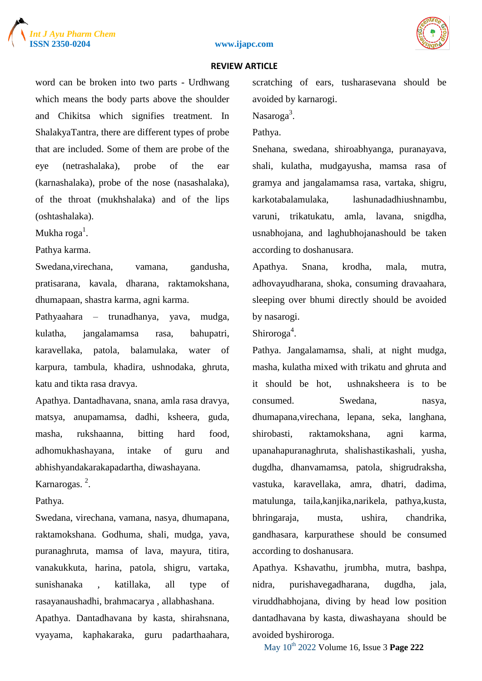





word can be broken into two parts - Urdhwang which means the body parts above the shoulder and Chikitsa which signifies treatment. In ShalakyaTantra, there are different types of probe that are included. Some of them are probe of the eye (netrashalaka), probe of the ear (karnashalaka), probe of the nose (nasashalaka), of the throat (mukhshalaka) and of the lips (oshtashalaka).

Mukha roga $^{\rm l}$ .

Pathya karma.

Swedana,virechana, vamana, gandusha, pratisarana, kavala, dharana, raktamokshana, dhumapaan, shastra karma, agni karma.

Pathyaahara – trunadhanya, yava, mudga, kulatha, jangalamamsa rasa, bahupatri, karavellaka, patola, balamulaka, water of karpura, tambula, khadira, ushnodaka, ghruta, katu and tikta rasa dravya.

Apathya. Dantadhavana, snana, amla rasa dravya, matsya, anupamamsa, dadhi, ksheera, guda, masha, rukshaanna, bitting hard food, adhomukhashayana, intake of guru and abhishyandakarakapadartha, diwashayana.

Karnarogas.<sup>2</sup>.

Pathya.

Swedana, virechana, vamana, nasya, dhumapana, raktamokshana. Godhuma, shali, mudga, yava, puranaghruta, mamsa of lava, mayura, titira, vanakukkuta, harina, patola, shigru, vartaka, sunishanaka , katillaka, all type of rasayanaushadhi, brahmacarya , allabhashana.

Apathya. Dantadhavana by kasta, shirahsnana, vyayama, kaphakaraka, guru padarthaahara, scratching of ears, tusharasevana should be avoided by karnarogi.

Nasaroga<sup>3</sup>.

Pathya.

Snehana, swedana, shiroabhyanga, puranayava, shali, kulatha, mudgayusha, mamsa rasa of gramya and jangalamamsa rasa, vartaka, shigru, karkotabalamulaka, lashunadadhiushnambu, varuni, trikatukatu, amla, lavana, snigdha, usnabhojana, and laghubhojanashould be taken according to doshanusara.

Apathya. Snana, krodha, mala, mutra, adhovayudharana, shoka, consuming dravaahara, sleeping over bhumi directly should be avoided by nasarogi.

Shiroroga<sup>4</sup>.

Pathya. Jangalamamsa, shali, at night mudga, masha, kulatha mixed with trikatu and ghruta and it should be hot, ushnaksheera is to be consumed. Swedana, nasya, dhumapana,virechana, lepana, seka, langhana, shirobasti, raktamokshana, agni karma, upanahapuranaghruta, shalishastikashali, yusha, dugdha, dhanvamamsa, patola, shigrudraksha, vastuka, karavellaka, amra, dhatri, dadima, matulunga, taila,kanjika,narikela, pathya,kusta, bhringaraja, musta, ushira, chandrika, gandhasara, karpurathese should be consumed according to doshanusara.

Apathya. Kshavathu, jrumbha, mutra, bashpa, nidra, purishavegadharana, dugdha, jala, viruddhabhojana, diving by head low position dantadhavana by kasta, diwashayana should be avoided byshiroroga.

May 10th 2022 Volume 16, Issue 3 **Page 222**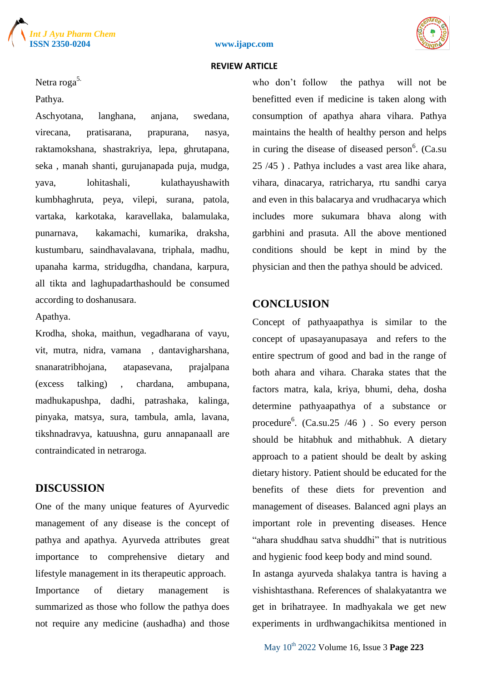





Netra roga<sup>5.</sup>

Pathya.

Aschyotana, langhana, anjana, swedana, virecana, pratisarana, prapurana, nasya, raktamokshana, shastrakriya, lepa, ghrutapana, seka , manah shanti, gurujanapada puja, mudga, yava, lohitashali, kulathayushawith kumbhaghruta, peya, vilepi, surana, patola, vartaka, karkotaka, karavellaka, balamulaka, punarnava, kakamachi, kumarika, draksha, kustumbaru, saindhavalavana, triphala, madhu, upanaha karma, stridugdha, chandana, karpura, all tikta and laghupadarthashould be consumed according to doshanusara.

#### Apathya.

Krodha, shoka, maithun, vegadharana of vayu, vit, mutra, nidra, vamana , dantavigharshana, snanaratribhojana, atapasevana, prajalpana (excess talking) , chardana, ambupana, madhukapushpa, dadhi, patrashaka, kalinga, pinyaka, matsya, sura, tambula, amla, lavana, tikshnadravya, katuushna, guru annapanaall are contraindicated in netraroga.

# **DISCUSSION**

One of the many unique features of Ayurvedic management of any disease is the concept of pathya and apathya. Ayurveda attributes great importance to comprehensive dietary and lifestyle management in its therapeutic approach. Importance of dietary management is summarized as those who follow the pathya does not require any medicine (aushadha) and those who don't follow the pathya will not be benefitted even if medicine is taken along with consumption of apathya ahara vihara. Pathya maintains the health of healthy person and helps in curing the disease of diseased person<sup>6</sup>. (Ca.su 25 /45 ) . Pathya includes a vast area like ahara, vihara, dinacarya, ratricharya, rtu sandhi carya and even in this balacarya and vrudhacarya which includes more sukumara bhava along with garbhini and prasuta. All the above mentioned conditions should be kept in mind by the physician and then the pathya should be adviced.

# **CONCLUSION**

Concept of pathyaapathya is similar to the concept of upasayanupasaya and refers to the entire spectrum of good and bad in the range of both ahara and vihara. Charaka states that the factors matra, kala, kriya, bhumi, deha, dosha determine pathyaapathya of a substance or procedure<sup>6</sup>. (Ca.su.25 /46) . So every person should be hitabhuk and mithabhuk. A dietary approach to a patient should be dealt by asking dietary history. Patient should be educated for the benefits of these diets for prevention and management of diseases. Balanced agni plays an important role in preventing diseases. Hence "ahara shuddhau satva shuddhi" that is nutritious and hygienic food keep body and mind sound.

In astanga ayurveda shalakya tantra is having a vishishtasthana. References of shalakyatantra we get in brihatrayee. In madhyakala we get new experiments in urdhwangachikitsa mentioned in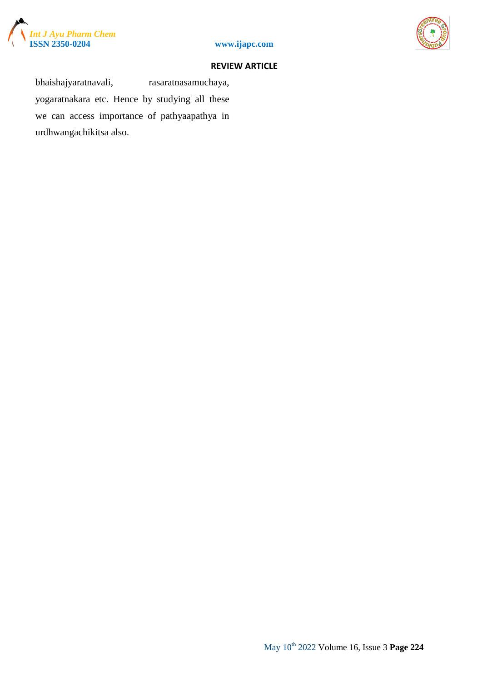



bhaishajyaratnavali, rasaratnasamuchaya, yogaratnakara etc. Hence by studying all these we can access importance of pathyaapathya in urdhwangachikitsa also.